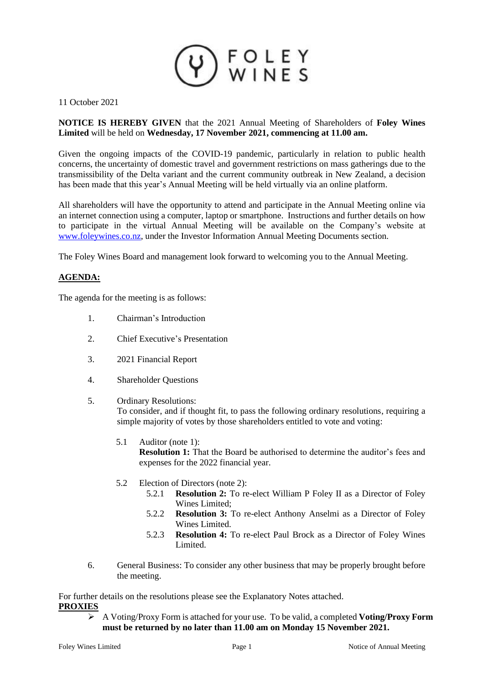

11 October 2021

# **NOTICE IS HEREBY GIVEN** that the 2021 Annual Meeting of Shareholders of **Foley Wines Limited** will be held on **Wednesday, 17 November 2021, commencing at 11.00 am.**

Given the ongoing impacts of the COVID-19 pandemic, particularly in relation to public health concerns, the uncertainty of domestic travel and government restrictions on mass gatherings due to the transmissibility of the Delta variant and the current community outbreak in New Zealand, a decision has been made that this year's Annual Meeting will be held virtually via an online platform.

All shareholders will have the opportunity to attend and participate in the Annual Meeting online via an internet connection using a computer, laptop or smartphone. Instructions and further details on how to participate in the virtual Annual Meeting will be available on the Company's website at [www.foleywines.co.nz,](http://www.foleywines.co.nz/) under the Investor Information Annual Meeting Documents section.

The Foley Wines Board and management look forward to welcoming you to the Annual Meeting.

# **AGENDA:**

The agenda for the meeting is as follows:

- 1. Chairman's Introduction
- 2. Chief Executive's Presentation
- 3. 2021 Financial Report
- 4. Shareholder Questions
- 5. Ordinary Resolutions:

To consider, and if thought fit, to pass the following ordinary resolutions, requiring a simple majority of votes by those shareholders entitled to vote and voting:

- 5.1 Auditor (note 1): **Resolution 1:** That the Board be authorised to determine the auditor's fees and expenses for the 2022 financial year.
- 5.2 Election of Directors (note 2):
	- 5.2.1 **Resolution 2:** To re-elect William P Foley II as a Director of Foley Wines Limited;
	- 5.2.2 **Resolution 3:** To re-elect Anthony Anselmi as a Director of Foley Wines Limited.
	- 5.2.3 **Resolution 4:** To re-elect Paul Brock as a Director of Foley Wines Limited.
- 6. General Business: To consider any other business that may be properly brought before the meeting.

For further details on the resolutions please see the Explanatory Notes attached. **PROXIES**

➢ A Voting/Proxy Form is attached for your use. To be valid, a completed **Voting/Proxy Form must be returned by no later than 11.00 am on Monday 15 November 2021.**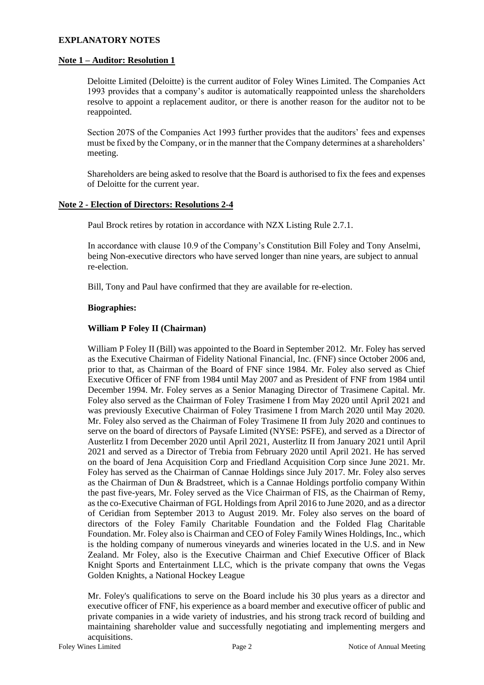### **EXPLANATORY NOTES**

### **Note 1 – Auditor: Resolution 1**

Deloitte Limited (Deloitte) is the current auditor of Foley Wines Limited. The Companies Act 1993 provides that a company's auditor is automatically reappointed unless the shareholders resolve to appoint a replacement auditor, or there is another reason for the auditor not to be reappointed.

Section 207S of the Companies Act 1993 further provides that the auditors' fees and expenses must be fixed by the Company, or in the manner that the Company determines at a shareholders' meeting.

Shareholders are being asked to resolve that the Board is authorised to fix the fees and expenses of Deloitte for the current year.

### **Note 2 - Election of Directors: Resolutions 2-4**

Paul Brock retires by rotation in accordance with NZX Listing Rule 2.7.1.

In accordance with clause 10.9 of the Company's Constitution Bill Foley and Tony Anselmi, being Non-executive directors who have served longer than nine years, are subject to annual re-election.

Bill, Tony and Paul have confirmed that they are available for re-election.

### **Biographies:**

### **William P Foley II (Chairman)**

William P Foley II (Bill) was appointed to the Board in September 2012. Mr. Foley has served as the Executive Chairman of Fidelity National Financial, Inc. (FNF) since October 2006 and, prior to that, as Chairman of the Board of FNF since 1984. Mr. Foley also served as Chief Executive Officer of FNF from 1984 until May 2007 and as President of FNF from 1984 until December 1994. Mr. Foley serves as a Senior Managing Director of Trasimene Capital. Mr. Foley also served as the Chairman of Foley Trasimene I from May 2020 until April 2021 and was previously Executive Chairman of Foley Trasimene I from March 2020 until May 2020. Mr. Foley also served as the Chairman of Foley Trasimene II from July 2020 and continues to serve on the board of directors of Paysafe Limited (NYSE: PSFE), and served as a Director of Austerlitz I from December 2020 until April 2021, Austerlitz II from January 2021 until April 2021 and served as a Director of Trebia from February 2020 until April 2021. He has served on the board of Jena Acquisition Corp and Friedland Acquisition Corp since June 2021. Mr. Foley has served as the Chairman of Cannae Holdings since July 2017. Mr. Foley also serves as the Chairman of Dun & Bradstreet, which is a Cannae Holdings portfolio company Within the past five-years, Mr. Foley served as the Vice Chairman of FIS, as the Chairman of Remy, as the co-Executive Chairman of FGL Holdings from April 2016 to June 2020, and as a director of Ceridian from September 2013 to August 2019. Mr. Foley also serves on the board of directors of the Foley Family Charitable Foundation and the Folded Flag Charitable Foundation. Mr. Foley also is Chairman and CEO of Foley Family Wines Holdings, Inc., which is the holding company of numerous vineyards and wineries located in the U.S. and in New Zealand. Mr Foley, also is the Executive Chairman and Chief Executive Officer of Black Knight Sports and Entertainment LLC, which is the private company that owns the Vegas Golden Knights, a National Hockey League

Mr. Foley's qualifications to serve on the Board include his 30 plus years as a director and executive officer of FNF, his experience as a board member and executive officer of public and private companies in a wide variety of industries, and his strong track record of building and maintaining shareholder value and successfully negotiating and implementing mergers and acquisitions.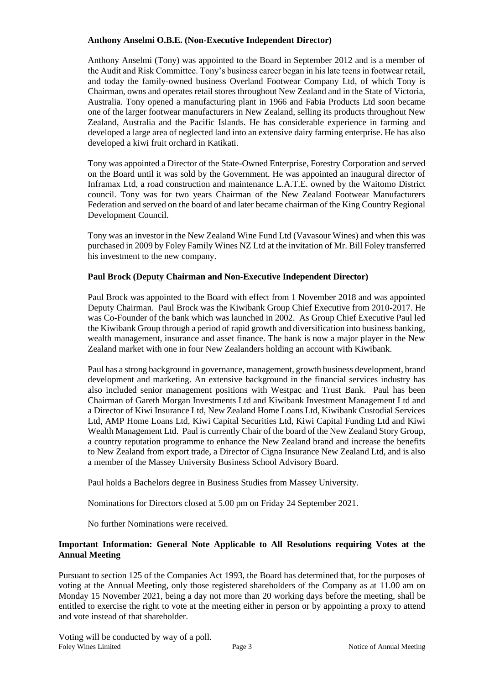### **Anthony Anselmi O.B.E. (Non-Executive Independent Director)**

Anthony Anselmi (Tony) was appointed to the Board in September 2012 and is a member of the Audit and Risk Committee. Tony's business career began in his late teens in footwear retail, and today the family-owned business Overland Footwear Company Ltd, of which Tony is Chairman, owns and operates retail stores throughout New Zealand and in the State of Victoria, Australia. Tony opened a manufacturing plant in 1966 and Fabia Products Ltd soon became one of the larger footwear manufacturers in New Zealand, selling its products throughout New Zealand, Australia and the Pacific Islands. He has considerable experience in farming and developed a large area of neglected land into an extensive dairy farming enterprise. He has also developed a kiwi fruit orchard in Katikati.

Tony was appointed a Director of the State-Owned Enterprise, Forestry Corporation and served on the Board until it was sold by the Government. He was appointed an inaugural director of Inframax Ltd, a road construction and maintenance L.A.T.E. owned by the Waitomo District council. Tony was for two years Chairman of the New Zealand Footwear Manufacturers Federation and served on the board of and later became chairman of the King Country Regional Development Council.

Tony was an investor in the New Zealand Wine Fund Ltd (Vavasour Wines) and when this was purchased in 2009 by Foley Family Wines NZ Ltd at the invitation of Mr. Bill Foley transferred his investment to the new company.

# **Paul Brock (Deputy Chairman and Non-Executive Independent Director)**

Paul Brock was appointed to the Board with effect from 1 November 2018 and was appointed Deputy Chairman. Paul Brock was the Kiwibank Group Chief Executive from 2010-2017. He was Co-Founder of the bank which was launched in 2002. As Group Chief Executive Paul led the Kiwibank Group through a period of rapid growth and diversification into business banking, wealth management, insurance and asset finance. The bank is now a major player in the New Zealand market with one in four New Zealanders holding an account with Kiwibank.

Paul has a strong background in governance, management, growth business development, brand development and marketing. An extensive background in the financial services industry has also included senior management positions with Westpac and Trust Bank. Paul has been Chairman of Gareth Morgan Investments Ltd and Kiwibank Investment Management Ltd and a Director of Kiwi Insurance Ltd, New Zealand Home Loans Ltd, Kiwibank Custodial Services Ltd, AMP Home Loans Ltd, Kiwi Capital Securities Ltd, Kiwi Capital Funding Ltd and Kiwi Wealth Management Ltd. Paul is currently Chair of the board of the New Zealand Story Group, a country reputation programme to enhance the New Zealand brand and increase the benefits to New Zealand from export trade, a Director of Cigna Insurance New Zealand Ltd, and is also a member of the Massey University Business School Advisory Board.

Paul holds a Bachelors degree in Business Studies from Massey University.

Nominations for Directors closed at 5.00 pm on Friday 24 September 2021.

No further Nominations were received.

# **Important Information: General Note Applicable to All Resolutions requiring Votes at the Annual Meeting**

Pursuant to section 125 of the Companies Act 1993, the Board has determined that, for the purposes of voting at the Annual Meeting, only those registered shareholders of the Company as at 11.00 am on Monday 15 November 2021, being a day not more than 20 working days before the meeting, shall be entitled to exercise the right to vote at the meeting either in person or by appointing a proxy to attend and vote instead of that shareholder.